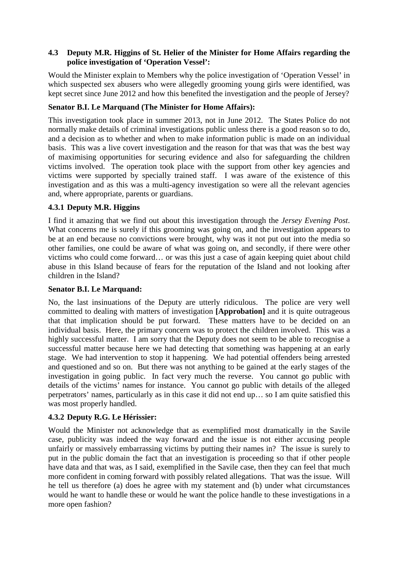## **4.3 Deputy M.R. Higgins of St. Helier of the Minister for Home Affairs regarding the police investigation of 'Operation Vessel':**

Would the Minister explain to Members why the police investigation of 'Operation Vessel' in which suspected sex abusers who were allegedly grooming young girls were identified, was kept secret since June 2012 and how this benefited the investigation and the people of Jersey?

# **Senator B.I. Le Marquand (The Minister for Home Affairs):**

This investigation took place in summer 2013, not in June 2012. The States Police do not normally make details of criminal investigations public unless there is a good reason so to do, and a decision as to whether and when to make information public is made on an individual basis. This was a live covert investigation and the reason for that was that was the best way of maximising opportunities for securing evidence and also for safeguarding the children victims involved. The operation took place with the support from other key agencies and victims were supported by specially trained staff. I was aware of the existence of this investigation and as this was a multi-agency investigation so were all the relevant agencies and, where appropriate, parents or guardians.

# **4.3.1 Deputy M.R. Higgins**

I find it amazing that we find out about this investigation through the *Jersey Evening Post*. What concerns me is surely if this grooming was going on, and the investigation appears to be at an end because no convictions were brought, why was it not put out into the media so other families, one could be aware of what was going on, and secondly, if there were other victims who could come forward… or was this just a case of again keeping quiet about child abuse in this Island because of fears for the reputation of the Island and not looking after children in the Island?

## **Senator B.I. Le Marquand:**

No, the last insinuations of the Deputy are utterly ridiculous. The police are very well committed to dealing with matters of investigation **[Approbation]** and it is quite outrageous that that implication should be put forward. These matters have to be decided on an individual basis. Here, the primary concern was to protect the children involved. This was a highly successful matter. I am sorry that the Deputy does not seem to be able to recognise a successful matter because here we had detecting that something was happening at an early stage. We had intervention to stop it happening. We had potential offenders being arrested and questioned and so on. But there was not anything to be gained at the early stages of the investigation in going public. In fact very much the reverse. You cannot go public with details of the victims' names for instance. You cannot go public with details of the alleged perpetrators' names, particularly as in this case it did not end up… so I am quite satisfied this was most properly handled.

## **4.3.2 Deputy R.G. Le Hérissier:**

Would the Minister not acknowledge that as exemplified most dramatically in the Savile case, publicity was indeed the way forward and the issue is not either accusing people unfairly or massively embarrassing victims by putting their names in? The issue is surely to put in the public domain the fact that an investigation is proceeding so that if other people have data and that was, as I said, exemplified in the Savile case, then they can feel that much more confident in coming forward with possibly related allegations. That was the issue. Will he tell us therefore (a) does he agree with my statement and (b) under what circumstances would he want to handle these or would he want the police handle to these investigations in a more open fashion?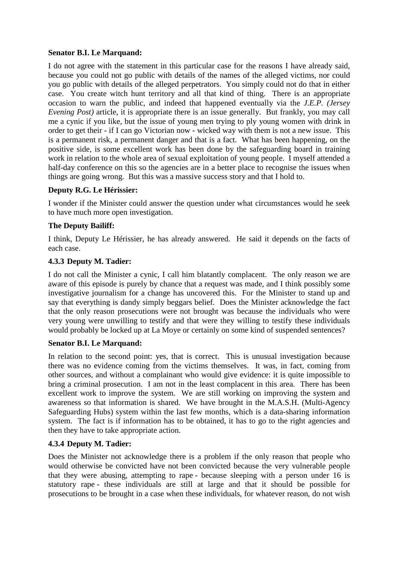#### **Senator B.I. Le Marquand:**

I do not agree with the statement in this particular case for the reasons I have already said, because you could not go public with details of the names of the alleged victims, nor could you go public with details of the alleged perpetrators. You simply could not do that in either case. You create witch hunt territory and all that kind of thing. There is an appropriate occasion to warn the public, and indeed that happened eventually via the *J.E.P. (Jersey Evening Post)* article, it is appropriate there is an issue generally. But frankly, you may call me a cynic if you like, but the issue of young men trying to ply young women with drink in order to get their - if I can go Victorian now - wicked way with them is not a new issue. This is a permanent risk, a permanent danger and that is a fact. What has been happening, on the positive side, is some excellent work has been done by the safeguarding board in training work in relation to the whole area of sexual exploitation of young people. I myself attended a half-day conference on this so the agencies are in a better place to recognise the issues when things are going wrong. But this was a massive success story and that I hold to.

#### **Deputy R.G. Le Hérissier:**

I wonder if the Minister could answer the question under what circumstances would he seek to have much more open investigation.

## **The Deputy Bailiff:**

I think, Deputy Le Hérissier, he has already answered. He said it depends on the facts of each case.

#### **4.3.3 Deputy M. Tadier:**

I do not call the Minister a cynic, I call him blatantly complacent. The only reason we are aware of this episode is purely by chance that a request was made, and I think possibly some investigative journalism for a change has uncovered this. For the Minister to stand up and say that everything is dandy simply beggars belief. Does the Minister acknowledge the fact that the only reason prosecutions were not brought was because the individuals who were very young were unwilling to testify and that were they willing to testify these individuals would probably be locked up at La Moye or certainly on some kind of suspended sentences?

#### **Senator B.I. Le Marquand:**

In relation to the second point: yes, that is correct. This is unusual investigation because there was no evidence coming from the victims themselves. It was, in fact, coming from other sources, and without a complainant who would give evidence: it is quite impossible to bring a criminal prosecution. I am not in the least complacent in this area. There has been excellent work to improve the system. We are still working on improving the system and awareness so that information is shared. We have brought in the M.A.S.H. (Multi-Agency Safeguarding Hubs) system within the last few months, which is a data-sharing information system. The fact is if information has to be obtained, it has to go to the right agencies and then they have to take appropriate action.

#### **4.3.4 Deputy M. Tadier:**

Does the Minister not acknowledge there is a problem if the only reason that people who would otherwise be convicted have not been convicted because the very vulnerable people that they were abusing, attempting to rape - because sleeping with a person under 16 is statutory rape - these individuals are still at large and that it should be possible for prosecutions to be brought in a case when these individuals, for whatever reason, do not wish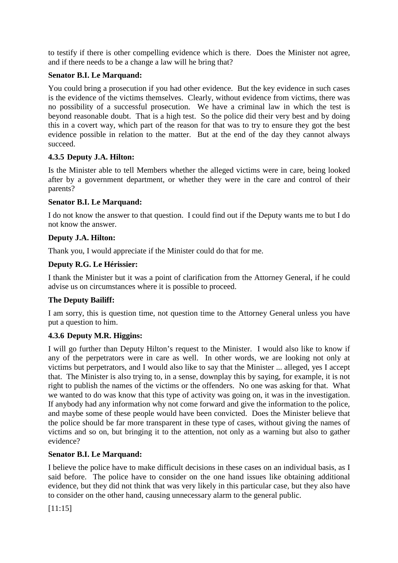to testify if there is other compelling evidence which is there. Does the Minister not agree, and if there needs to be a change a law will he bring that?

# **Senator B.I. Le Marquand:**

You could bring a prosecution if you had other evidence. But the key evidence in such cases is the evidence of the victims themselves. Clearly, without evidence from victims, there was no possibility of a successful prosecution. We have a criminal law in which the test is beyond reasonable doubt. That is a high test. So the police did their very best and by doing this in a covert way, which part of the reason for that was to try to ensure they got the best evidence possible in relation to the matter. But at the end of the day they cannot always succeed.

## **4.3.5 Deputy J.A. Hilton:**

Is the Minister able to tell Members whether the alleged victims were in care, being looked after by a government department, or whether they were in the care and control of their parents?

## **Senator B.I. Le Marquand:**

I do not know the answer to that question. I could find out if the Deputy wants me to but I do not know the answer.

## **Deputy J.A. Hilton:**

Thank you, I would appreciate if the Minister could do that for me.

# **Deputy R.G. Le Hérissier:**

I thank the Minister but it was a point of clarification from the Attorney General, if he could advise us on circumstances where it is possible to proceed.

## **The Deputy Bailiff:**

I am sorry, this is question time, not question time to the Attorney General unless you have put a question to him.

## **4.3.6 Deputy M.R. Higgins:**

I will go further than Deputy Hilton's request to the Minister. I would also like to know if any of the perpetrators were in care as well. In other words, we are looking not only at victims but perpetrators, and I would also like to say that the Minister ... alleged, yes I accept that. The Minister is also trying to, in a sense, downplay this by saying, for example, it is not right to publish the names of the victims or the offenders. No one was asking for that. What we wanted to do was know that this type of activity was going on, it was in the investigation. If anybody had any information why not come forward and give the information to the police, and maybe some of these people would have been convicted. Does the Minister believe that the police should be far more transparent in these type of cases, without giving the names of victims and so on, but bringing it to the attention, not only as a warning but also to gather evidence?

## **Senator B.I. Le Marquand:**

I believe the police have to make difficult decisions in these cases on an individual basis, as I said before. The police have to consider on the one hand issues like obtaining additional evidence, but they did not think that was very likely in this particular case, but they also have to consider on the other hand, causing unnecessary alarm to the general public.

[11:15]